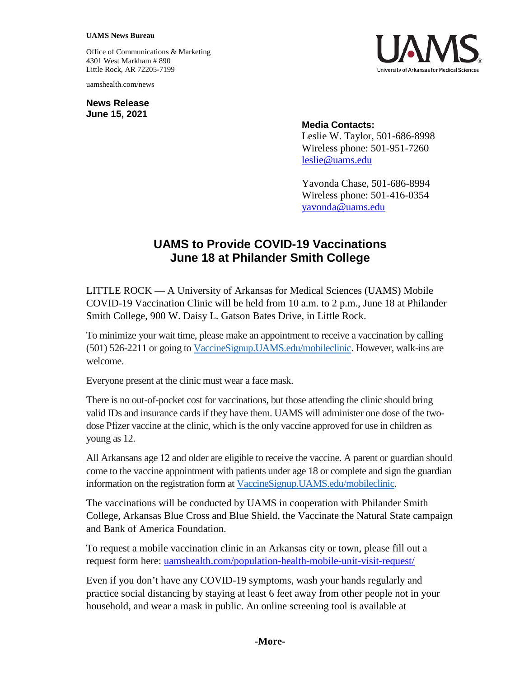## **UAMS News Bureau**

Office of Communications & Marketing 4301 West Markham # 890 Little Rock, AR 72205-7199

uamshealth.com/news

**News Release June 15, 2021**



## **Media Contacts:**

Leslie W. Taylor, 501-686-8998 Wireless phone: 501-951-7260 [leslie@uams.edu](mailto:leslie@uams.edu)

Yavonda Chase, 501-686-8994 Wireless phone: 501-416-0354 [yavonda@uams.edu](mailto:yavonda@uams.edu)

## **UAMS to Provide COVID-19 Vaccinations June 18 at Philander Smith College**

LITTLE ROCK — A University of Arkansas for Medical Sciences (UAMS) Mobile COVID-19 Vaccination Clinic will be held from 10 a.m. to 2 p.m., June 18 at Philander Smith College, 900 W. Daisy L. Gatson Bates Drive, in Little Rock.

To minimize your wait time, please make an appointment to receive a vaccination by calling (501) 526-2211 or going to [VaccineSignup.UAMS.edu/mobileclinic.](https://vaccinesignup.uams.edu/mobileclinic) However, walk-ins are welcome.

Everyone present at the clinic must wear a face mask.

There is no out-of-pocket cost for vaccinations, but those attending the clinic should bring valid IDs and insurance cards if they have them. UAMS will administer one dose of the twodose Pfizer vaccine at the clinic, which is the only vaccine approved for use in children as young as 12.

All Arkansans age 12 and older are eligible to receive the vaccine. A parent or guardian should come to the vaccine appointment with patients under age 18 or complete and sign the guardian information on the registration form at [VaccineSignup.UAMS.edu/mobileclinic.](https://vaccinesignup.uams.edu/mobileclinic)

The vaccinations will be conducted by UAMS in cooperation with Philander Smith College, Arkansas Blue Cross and Blue Shield, the Vaccinate the Natural State campaign and Bank of America Foundation.

To request a mobile vaccination clinic in an Arkansas city or town, please fill out a request form here: [uamshealth.com/population-health-mobile-unit-visit-request/](https://uamshealth.com/population-health-mobile-unit-visit-request/)

Even if you don't have any COVID-19 symptoms, wash your hands regularly and practice social distancing by staying at least 6 feet away from other people not in your household, and wear a mask in public. An online screening tool is available at